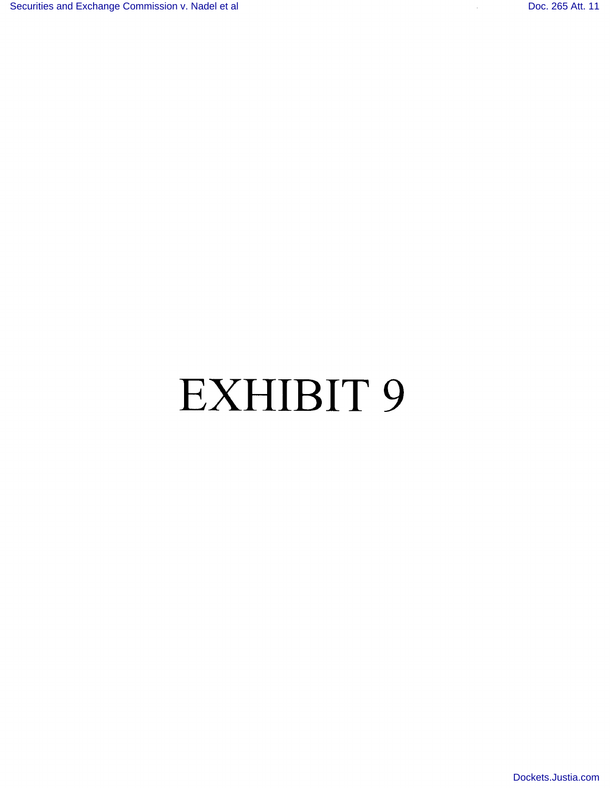## EXHIBIT <sup>9</sup>

[Dockets.Justia.com](http://dockets.justia.com/)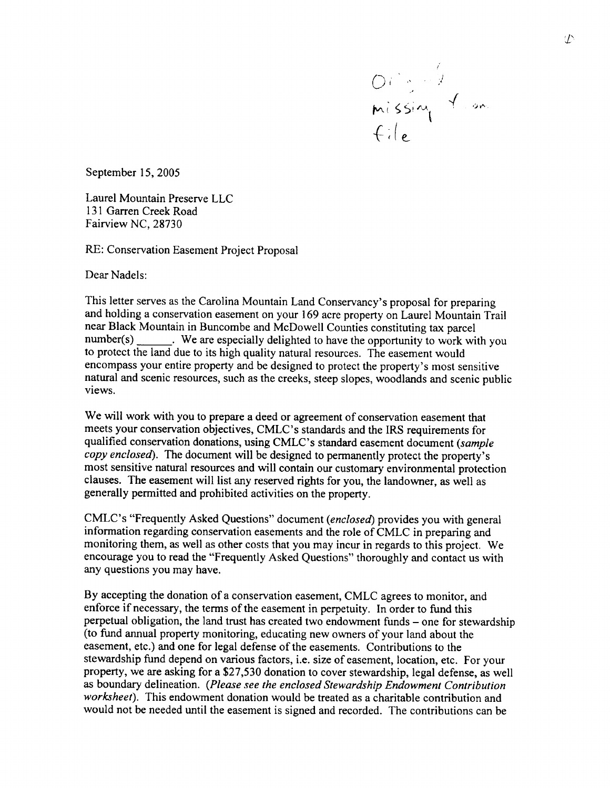

September 15, 2005

 $L = L/L$  $131.6$   $6.15.1$ 131 Garren Creek Road<br>Fairview NC, 28730

RE: Conservation Easement Project Proposal

Dear Nadels:

This letter serves as the Carolina Mountain Land Conservancy's proposal for preparing and holding a conservation easement on your 169 acre property on Laurel Mountain Trail near Black Mountain in Buncombe and McDowell Counties constitution and McDowell Counties constitution of the m near Black Mountain in Buncombe and McDowell Counties constituting tax parcel<br>number(s) \_\_\_\_\_\_\_\_. We are especially delighted to have the opportunity to work with you to protect the land due to its high quality natural resources. The easement would encompass your entire property and be designed to protect the property's most sensitive natural and scenic resources, such as the creeks, steep slopes to public and scenic public public public public public public public public public public public public public public public public public public public publ novement<br>.

We will work with you to prepare a deed or agreement of conservation easement that meets your conservation objectives, CMLC's standards and the IRS requirements for qualified conservation donations, using CMLC's standard easement document (sample copy enclosed). The document will be designed to permanently protect the property's most sensitive natural resources and will contain our customary environmental protection clauses. The easement will list any reserved rights for you, the landowner, as well as generally permitted and prohibited activities on the property.

CMLC's "Frequently Asked Questions" document (enclosed) provides you with general information regarding conservation easements and the role of CMLC in preparing and monitoring them, as well as other costs that you may incur in regards to this project. We encourage you to read the "Frequently Asked Questions" thoroughly and contact us with any questions you may have.

By accepting the donation of a conservation easement, CMLC agrees to monitor, and enforce if necessary, the terms of the easement in perpetuity. In order to fund this perpetual obligation, the land trust has created two endowment funds – one for stewardship (to fund annual property monitoring, educating new owners of your land about the easement, etc.) and one for legal defense of the easements. Contributions to the stewardship fund depend on various factors, i.e. size of easement, location, etc. For your property, we are asking for a \$27,530 donation to cover stewardship, legal defense, as well as boundary delineation. (Please see the enclosed Stewardship Endowment Contribution worksheet). This endowment donation would be treated as a charitable contribution and would not be needed until the easement is signed and recorded. The contributions can be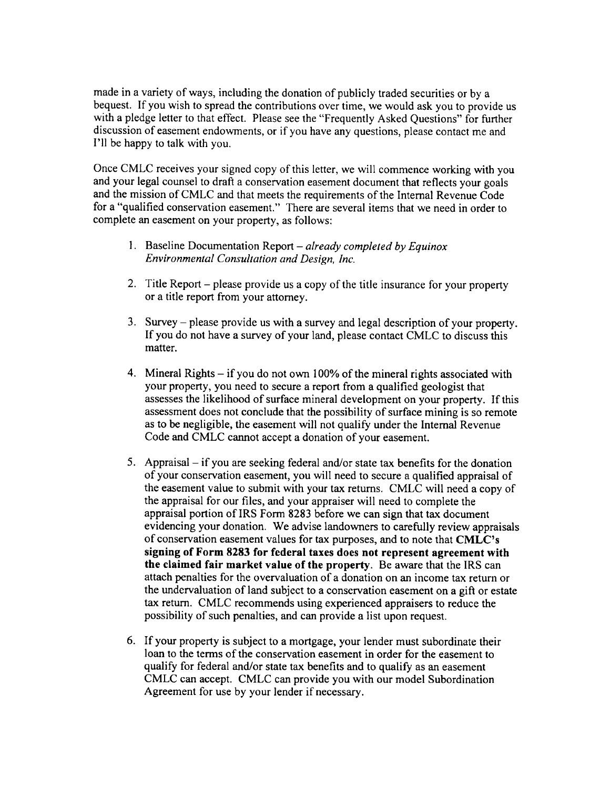made in a variety of ways, including the donation of publicly traded securities or by <sup>a</sup> bequest. If you wish to spread the contributions over time, we would ask you to provide us with a pledge letter to that effect. Please see the "Frequently Asked Questions" for further discussion of easement endowments, or if you have any questions, please contact me and I'll be happy to talk with you.

Once CMLC receives your signed copy of this letter, we will commence working with you and your legal counsel to draft a conservation easement document that reflects your goals and the mission of CMLC and that meets the requirements of the Internal Revenue Code for a "qualified conservation easement." There are several items that we need in order to complete an easement on your property, as follows:

- 1. Baseline Documentation Report  $-\frac{already}{completely by Equino x}$ Environmental Consultation and Design, Inc.
- 2. Title Report please provide us a copy of the title insurance for your property or a title report from your attorney.
- 3. Survey  $-\rho$  please provide us with a survey and legal description of your property. If you do not have a survey of your land, please contact CMLC to discuss this matter.
- 4. Mineral Rights if you do not own  $100\%$  of the mineral rights associated with your property, you need to secure a report from a qualified geologist that assesses the likelihood of surface mineral development on your property. If this assessment does not conclude that the possibility of surface mining is so remote as to be negligible, the easymetry in  $\mathbf{u}$  and  $\mathbf{u}$  the easymetry of  $\mathbf{u}$  and  $\mathbf{u}$   $\mathbf{u}$  and  $\mathbf{u}$  and  $\mathbf{u}$  and  $\mathbf{u}$  and  $\mathbf{u}$  and  $\mathbf{u}$  and  $\mathbf{u}$  and  $\mathbf{u}$  and  $\mathbf{u}$  and  $\mathbf{$ as to be negligible, the easement will not quality under the in<br>Code and CMLC cannot accept a donation of your easement.
- 5. Appraisal  $-$  if you are seeking federal and/or state tax benefits for the donation of your conservation easement, you will need to secure a qualified appraisal of the easement value to submit with your tax returns. CMLC will need a copy of the appraisal for our files, and your appraiser will need to complete the appraisal portion of IRS Form 8283 before we can sign that tax document evidencing your donation. We advise landowners to carefully review appraisals of conservation easement values for tax purposes, and to note that CMLC's signing of Form 8283 for federal taxes does not represent agreement with the claimed fair market value of the property. Be aware that the IRS can attach penalties for the overvaluation of a donation on an income tax return or the undervaluation of land subject to a conservation easement on a gifi or estate the undervaluation of failure subject to a conservation easement on a gift of  $es$ tax return. CMLC recommends using experienced appraisers to reduce the possibility of such penalties, and can provide a list upon request.
- If your property is subject to a mortgage, your lender must subordinate their loan to the terms of the conservation easement in order for the easement to qualify for federal and/or state tax benefits and to qualify as an easement CMLC can accept. CMLC can provide you with our model Subordination Agreement for use by your lender if necessary.